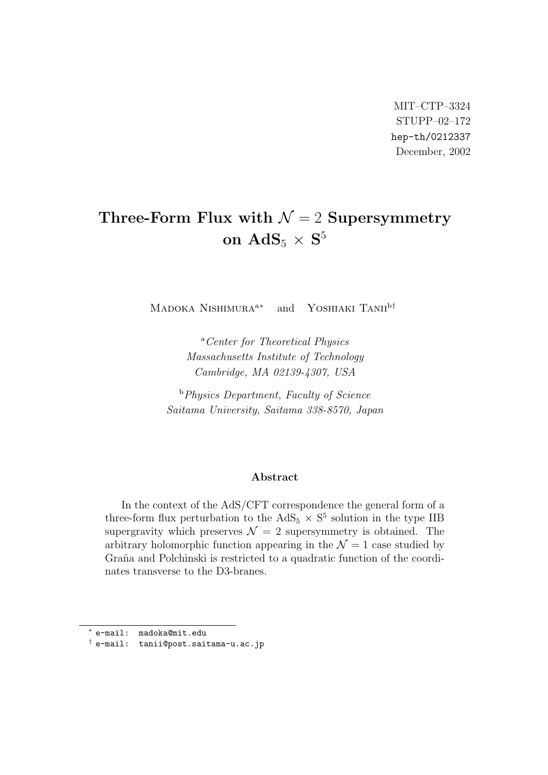MIT–CTP–3324 STUPP–02–172 hep-th/0212337 December, 2002

# **Three-Form Flux with**  $\mathcal{N} = 2$  **Supersymmetry**  $\mathbf{on\;AdS}_5 \times \mathbf{S}^5$

MADOKA NISHIMURA<sup>a∗</sup> and YOSHIAKI TANII<sup>b†</sup>

<sup>a</sup>*Center for Theoretical Physics Massachusetts Institute of Technology Cambridge, MA 02139-4307, USA*

<sup>b</sup>*Physics Department, Faculty of Science Saitama University, Saitama 338-8570, Japan*

#### **Abstract**

In the context of the AdS/CFT correspondence the general form of a three-form flux perturbation to the  $AdS_5 \times S^5$  solution in the type IIB supergravity which preserves  $\mathcal{N} = 2$  supersymmetry is obtained. The arbitrary holomorphic function appearing in the  $\mathcal{N}=1$  case studied by Graña and Polchinski is restricted to a quadratic function of the coordinates transverse to the D3-branes.

*<sup>∗</sup>* e-mail: madoka@mit.edu

*<sup>†</sup>* e-mail: tanii@post.saitama-u.ac.jp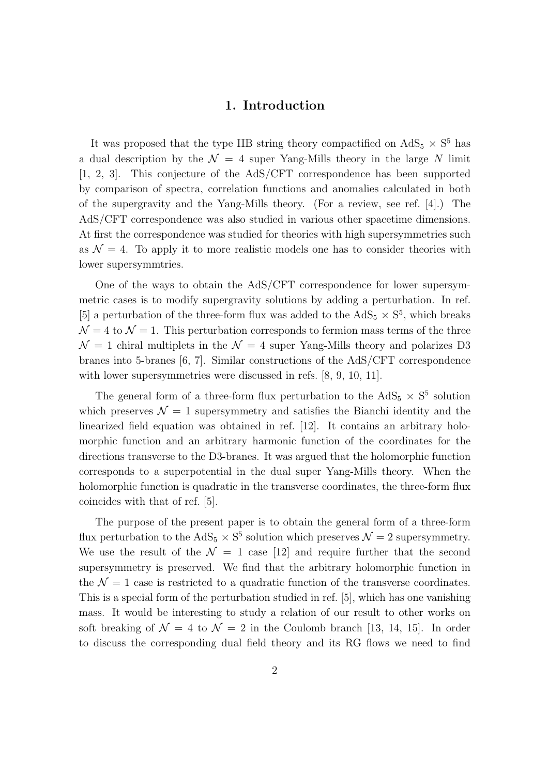#### **1. Introduction**

It was proposed that the type IIB string theory compactified on  $AdS_5 \times S^5$  has a dual description by the  $\mathcal{N} = 4$  super Yang-Mills theory in the large N limit [1, 2, 3]. This conjecture of the AdS/CFT correspondence has been supported by comparison of spectra, correlation functions and anomalies calculated in both of the supergravity and the Yang-Mills theory. (For a review, see ref. [4].) The AdS/CFT correspondence was also studied in various other spacetime dimensions. At first the correspondence was studied for theories with high supersymmetries such as  $\mathcal{N} = 4$ . To apply it to more realistic models one has to consider theories with lower supersymmtries.

One of the ways to obtain the AdS/CFT correspondence for lower supersymmetric cases is to modify supergravity solutions by adding a perturbation. In ref. [5] a perturbation of the three-form flux was added to the  $AdS_5 \times S^5$ , which breaks  $\mathcal{N} = 4$  to  $\mathcal{N} = 1$ . This perturbation corresponds to fermion mass terms of the three  $\mathcal{N} = 1$  chiral multiplets in the  $\mathcal{N} = 4$  super Yang-Mills theory and polarizes D3 branes into 5-branes [6, 7]. Similar constructions of the AdS/CFT correspondence with lower supersymmetries were discussed in refs.  $[8, 9, 10, 11]$ .

The general form of a three-form flux perturbation to the  $AdS_5 \times S^5$  solution which preserves  $\mathcal{N} = 1$  supersymmetry and satisfies the Bianchi identity and the linearized field equation was obtained in ref. [12]. It contains an arbitrary holomorphic function and an arbitrary harmonic function of the coordinates for the directions transverse to the D3-branes. It was argued that the holomorphic function corresponds to a superpotential in the dual super Yang-Mills theory. When the holomorphic function is quadratic in the transverse coordinates, the three-form flux coincides with that of ref. [5].

The purpose of the present paper is to obtain the general form of a three-form flux perturbation to the  $AdS_5 \times S^5$  solution which preserves  $\mathcal{N}=2$  supersymmetry. We use the result of the  $\mathcal{N} = 1$  case [12] and require further that the second supersymmetry is preserved. We find that the arbitrary holomorphic function in the  $\mathcal{N}=1$  case is restricted to a quadratic function of the transverse coordinates. This is a special form of the perturbation studied in ref. [5], which has one vanishing mass. It would be interesting to study a relation of our result to other works on soft breaking of  $\mathcal{N} = 4$  to  $\mathcal{N} = 2$  in the Coulomb branch [13, 14, 15]. In order to discuss the corresponding dual field theory and its RG flows we need to find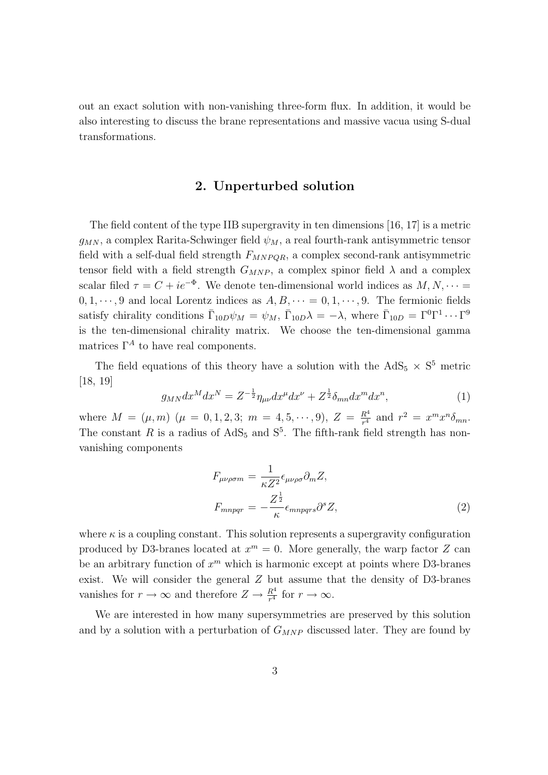out an exact solution with non-vanishing three-form flux. In addition, it would be also interesting to discuss the brane representations and massive vacua using S-dual transformations.

#### **2. Unperturbed solution**

The field content of the type IIB supergravity in ten dimensions [16, 17] is a metric  $g_{MN}$ , a complex Rarita-Schwinger field  $\psi_M$ , a real fourth-rank antisymmetric tensor field with a self-dual field strength  $F_{MNPQR}$ , a complex second-rank antisymmetric tensor field with a field strength  $G_{MNP}$ , a complex spinor field  $\lambda$  and a complex scalar filed  $\tau = C + ie^{-\Phi}$ . We denote ten-dimensional world indices as  $M, N, \dots$  $0, 1, \dots, 9$  and local Lorentz indices as  $A, B, \dots = 0, 1, \dots, 9$ . The fermionic fields satisfy chirality conditions  $\bar{\Gamma}_{10D}\psi_M = \psi_M$ ,  $\bar{\Gamma}_{10D}\lambda = -\lambda$ , where  $\bar{\Gamma}_{10D} = \Gamma^0\Gamma^1\cdots\Gamma^9$ is the ten-dimensional chirality matrix. We choose the ten-dimensional gamma matrices  $\Gamma^A$  to have real components.

The field equations of this theory have a solution with the  $AdS_5 \times S^5$  metric [18, 19]

$$
g_{MN}dx^M dx^N = Z^{-\frac{1}{2}} \eta_{\mu\nu} dx^\mu dx^\nu + Z^{\frac{1}{2}} \delta_{mn} dx^m dx^n, \qquad (1)
$$

where  $M = (\mu, m)$   $(\mu = 0, 1, 2, 3; m = 4, 5, \dots, 9), Z = \frac{R^4}{r^4}$  $\frac{R^4}{r^4}$  and  $r^2 = x^m x^n \delta_{mn}$ . The constant R is a radius of  $AdS_5$  and  $S^5$ . The fifth-rank field strength has nonvanishing components

$$
F_{\mu\nu\rho\sigma m} = \frac{1}{\kappa Z^2} \epsilon_{\mu\nu\rho\sigma} \partial_m Z,
$$
  

$$
F_{mnpqr} = -\frac{Z^{\frac{1}{2}}}{\kappa} \epsilon_{mnpqrs} \partial^s Z,
$$
 (2)

where  $\kappa$  is a coupling constant. This solution represents a supergravity configuration produced by D3-branes located at  $x^m = 0$ . More generally, the warp factor *Z* can be an arbitrary function of *x <sup>m</sup>* which is harmonic except at points where D3-branes exist. We will consider the general *Z* but assume that the density of D3-branes vanishes for  $r \to \infty$  and therefore  $Z \to \frac{R^4}{r^4}$  for  $r \to \infty$ .

We are interested in how many supersymmetries are preserved by this solution and by a solution with a perturbation of *GMNP* discussed later. They are found by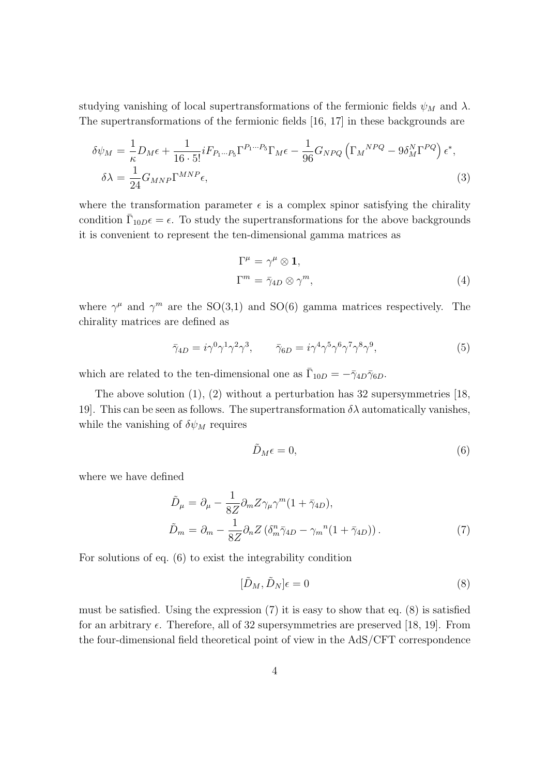studying vanishing of local supertransformations of the fermionic fields  $\psi_M$  and  $\lambda$ . The supertransformations of the fermionic fields [16, 17] in these backgrounds are

$$
\delta\psi_M = \frac{1}{\kappa} D_M \epsilon + \frac{1}{16 \cdot 5!} i F_{P_1 \cdots P_5} \Gamma^{P_1 \cdots P_5} \Gamma_M \epsilon - \frac{1}{96} G_{NPQ} \left( \Gamma_M{}^{NPQ} - 9 \delta_M^N \Gamma^{PQ} \right) \epsilon^*,
$$
  

$$
\delta\lambda = \frac{1}{24} G_{MNP} \Gamma^{MNP} \epsilon,
$$
 (3)

where the transformation parameter  $\epsilon$  is a complex spinor satisfying the chirality condition  $\bar{\Gamma}_{10D}\epsilon = \epsilon$ . To study the supertransformations for the above backgrounds it is convenient to represent the ten-dimensional gamma matrices as

$$
\Gamma^{\mu} = \gamma^{\mu} \otimes \mathbf{1},
$$
  
\n
$$
\Gamma^{m} = \bar{\gamma}_{4D} \otimes \gamma^{m},
$$
\n(4)

where  $\gamma^{\mu}$  and  $\gamma^{m}$  are the SO(3,1) and SO(6) gamma matrices respectively. The chirality matrices are defined as

$$
\bar{\gamma}_{4D} = i\gamma^0 \gamma^1 \gamma^2 \gamma^3, \qquad \bar{\gamma}_{6D} = i\gamma^4 \gamma^5 \gamma^6 \gamma^7 \gamma^8 \gamma^9, \tag{5}
$$

which are related to the ten-dimensional one as  $\bar{\Gamma}_{10D} = -\bar{\gamma}_{4D}\bar{\gamma}_{6D}$ .

The above solution (1), (2) without a perturbation has 32 supersymmetries [18, 19]. This can be seen as follows. The supertransformation  $\delta\lambda$  automatically vanishes, while the vanishing of  $\delta \psi_M$  requires

$$
\tilde{D}_M \epsilon = 0,\t\t(6)
$$

where we have defined

$$
\tilde{D}_{\mu} = \partial_{\mu} - \frac{1}{8Z} \partial_{m} Z \gamma_{\mu} \gamma^{m} (1 + \bar{\gamma}_{4D}),
$$
\n
$$
\tilde{D}_{m} = \partial_{m} - \frac{1}{8Z} \partial_{n} Z \left( \delta_{m}^{n} \bar{\gamma}_{4D} - \gamma_{m}^{n} (1 + \bar{\gamma}_{4D}) \right). \tag{7}
$$

For solutions of eq. (6) to exist the integrability condition

$$
[\tilde{D}_M, \tilde{D}_N]\epsilon = 0\tag{8}
$$

must be satisfied. Using the expression  $(7)$  it is easy to show that eq.  $(8)$  is satisfied for an arbitrary  $\epsilon$ . Therefore, all of 32 supersymmetries are preserved [18, 19]. From the four-dimensional field theoretical point of view in the AdS/CFT correspondence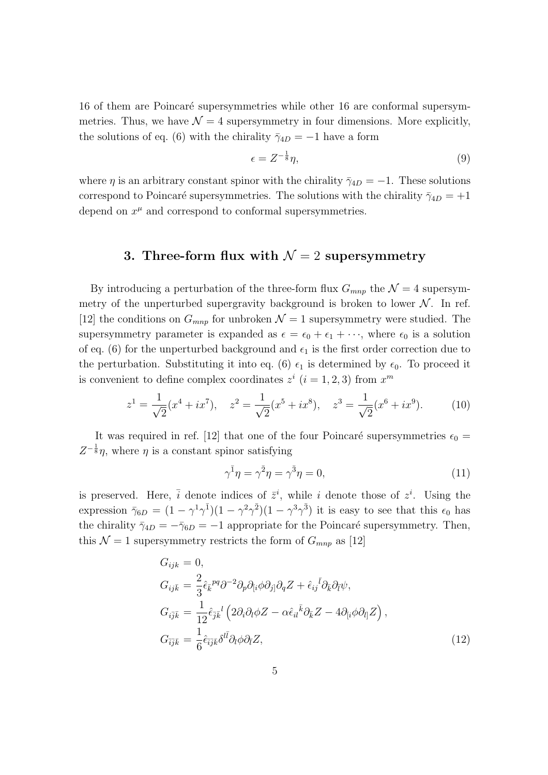16 of them are Poincaré supersymmetries while other 16 are conformal supersymmetries. Thus, we have  $\mathcal{N} = 4$  supersymmetry in four dimensions. More explicitly, the solutions of eq. (6) with the chirality  $\bar{\gamma}_{4D} = -1$  have a form

$$
\epsilon = Z^{-\frac{1}{8}}\eta,\tag{9}
$$

where *η* is an arbitrary constant spinor with the chirality  $\bar{\gamma}_{4D} = -1$ . These solutions correspond to Poincaré supersymmetries. The solutions with the chirality  $\bar{\gamma}_{4D} = +1$ depend on  $x^{\mu}$  and correspond to conformal supersymmetries.

# **3. Three-form flux with**  $\mathcal{N} = 2$  supersymmetry

By introducing a perturbation of the three-form flux  $G_{mnn}$  the  $\mathcal{N}=4$  supersymmetry of the unperturbed supergravity background is broken to lower  $N$ . In ref. [12] the conditions on  $G_{mnp}$  for unbroken  $\mathcal{N}=1$  supersymmetry were studied. The supersymmetry parameter is expanded as  $\epsilon = \epsilon_0 + \epsilon_1 + \cdots$ , where  $\epsilon_0$  is a solution of eq. (6) for the unperturbed background and  $\epsilon_1$  is the first order correction due to the perturbation. Substituting it into eq. (6)  $\epsilon_1$  is determined by  $\epsilon_0$ . To proceed it is convenient to define complex coordinates  $z^i$  ( $i = 1, 2, 3$ ) from  $x^m$ 

$$
z^{1} = \frac{1}{\sqrt{2}}(x^{4} + ix^{7}), \quad z^{2} = \frac{1}{\sqrt{2}}(x^{5} + ix^{8}), \quad z^{3} = \frac{1}{\sqrt{2}}(x^{6} + ix^{9}). \tag{10}
$$

It was required in ref. [12] that one of the four Poincaré supersymmetries  $\epsilon_0 =$  $Z^{-\frac{1}{8}}\eta$ , where  $\eta$  is a constant spinor satisfying

$$
\gamma^{\bar{1}}\eta = \gamma^{\bar{2}}\eta = \gamma^{\bar{3}}\eta = 0,\tag{11}
$$

is preserved. Here,  $\overline{i}$  denote indices of  $\overline{z}^i$ , while *i* denote those of  $z^i$ . Using the expression  $\bar{\gamma}_{6D} = (1 - \gamma^1 \gamma^{\bar{1}})(1 - \gamma^2 \gamma^{\bar{2}})(1 - \gamma^3 \gamma^{\bar{3}})$  it is easy to see that this  $\epsilon_0$  has the chirality  $\bar{\gamma}_{4D} = -\bar{\gamma}_{6D} = -1$  appropriate for the Poincaré supersymmetry. Then, this  $\mathcal{N} = 1$  supersymmetry restricts the form of  $G_{mnp}$  as [12]

$$
G_{ijk} = 0,
$$
  
\n
$$
G_{ij\bar{k}} = \frac{2}{3} \hat{\epsilon}_{\bar{k}}{}^{pq} \partial^{-2} \partial_p \partial_{[i} \phi \partial_{j]} \partial_q Z + \hat{\epsilon}_{ij}{}^{\bar{l}} \partial_{\bar{k}} \partial_{\bar{l}} \psi,
$$
  
\n
$$
G_{i\bar{j}\bar{k}} = \frac{1}{12} \hat{\epsilon}_{\bar{j}\bar{k}}{}^{l} \left( 2 \partial_i \partial_l \phi Z - \alpha \hat{\epsilon}_{il}{}^{\bar{k}} \partial_{\bar{k}} Z - 4 \partial_{[i} \phi \partial_{l]} Z \right),
$$
  
\n
$$
G_{\bar{i}\bar{j}\bar{k}} = \frac{1}{6} \hat{\epsilon}_{\bar{i}\bar{j}\bar{k}} \delta^{l\bar{l}} \partial_l \phi \partial_{\bar{l}} Z,
$$
\n(12)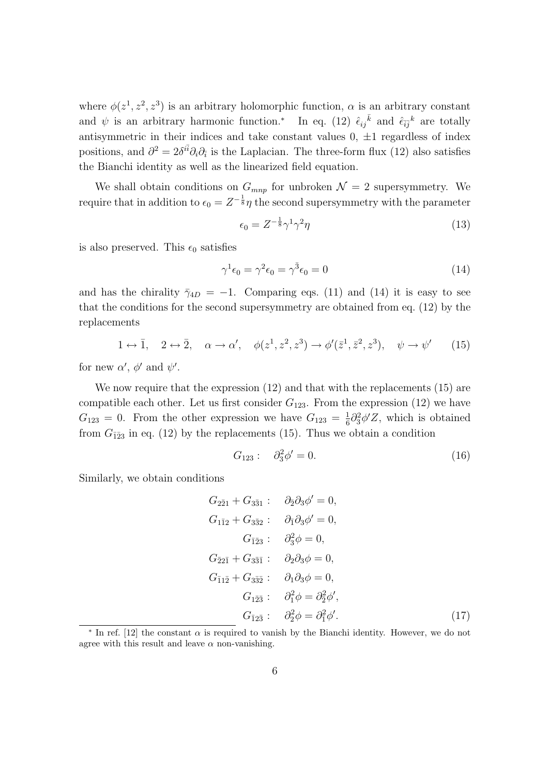where  $\phi(z^1, z^2, z^3)$  is an arbitrary holomorphic function,  $\alpha$  is an arbitrary constant and  $\psi$  is an arbitrary harmonic function.<sup>\*</sup> In eq. (12)  $\hat{\epsilon}_{ij}^{\bar{k}}$  and  $\hat{\epsilon}_{ij}^{\bar{k}}$  are totally antisymmetric in their indices and take constant values 0, *±*1 regardless of index positions, and  $\partial^2 = 2\delta^{i\bar{i}}\partial_i\partial_{\bar{i}}$  is the Laplacian. The three-form flux (12) also satisfies the Bianchi identity as well as the linearized field equation.

We shall obtain conditions on  $G_{mnp}$  for unbroken  $\mathcal{N}=2$  supersymmetry. We require that in addition to  $\epsilon_0 = Z^{-\frac{1}{8}}\eta$  the second supersymmetry with the parameter

$$
\epsilon_0 = Z^{-\frac{1}{8}} \gamma^1 \gamma^2 \eta \tag{13}
$$

is also preserved. This  $\epsilon_0$  satisfies

$$
\gamma^1 \epsilon_0 = \gamma^2 \epsilon_0 = \gamma^3 \epsilon_0 = 0 \tag{14}
$$

and has the chirality  $\bar{\gamma}_{4D} = -1$ . Comparing eqs. (11) and (14) it is easy to see that the conditions for the second supersymmetry are obtained from eq. (12) by the replacements

 $1 \leftrightarrow \overline{1}$ ,  $2 \leftrightarrow \overline{2}$ ,  $\alpha \rightarrow \alpha'$ ,  $\phi(z^1, z^2, z^3) \rightarrow \phi'(\overline{z}^1, \overline{z}^2, z^3)$ ,  $\psi \rightarrow \psi'$ (15)

for new  $\alpha'$ ,  $\phi'$  and  $\psi'$ .

We now require that the expression  $(12)$  and that with the replacements  $(15)$  are compatible each other. Let us first consider  $G_{123}$ . From the expression (12) we have  $G_{123} = 0$ . From the other expression we have  $G_{123} = \frac{1}{6}$  $\frac{1}{6}\partial_3^2\phi'Z$ , which is obtained from  $G_{\bar{12}3}$  in eq. (12) by the replacements (15). Thus we obtain a condition

$$
G_{123}: \quad \partial_3^2 \phi' = 0. \tag{16}
$$

Similarly, we obtain conditions

$$
G_{2\bar{2}1} + G_{3\bar{3}1} : \partial_{\bar{2}}\partial_3 \phi' = 0,
$$
  
\n
$$
G_{1\bar{1}2} + G_{3\bar{3}2} : \partial_{\bar{1}}\partial_3 \phi' = 0,
$$
  
\n
$$
G_{\bar{1}\bar{2}3} : \partial_{\bar{3}}^2 \phi = 0,
$$
  
\n
$$
G_{\bar{2}2\bar{1}} + G_{3\bar{3}\bar{1}} : \partial_{2}\partial_3 \phi = 0,
$$
  
\n
$$
G_{\bar{1}1\bar{2}} + G_{3\bar{3}\bar{2}} : \partial_{1}\partial_3 \phi = 0,
$$
  
\n
$$
G_{1\bar{2}\bar{3}} : \partial_{\bar{1}}^2 \phi = \partial_{\bar{2}}^2 \phi',
$$
  
\n
$$
G_{\bar{1}2\bar{3}} : \partial_{\bar{2}}^2 \phi = \partial_{\bar{1}}^2 \phi'.
$$
\n(17)

*<sup>∗</sup>* In ref. [12] the constant *α* is required to vanish by the Bianchi identity. However, we do not agree with this result and leave  $\alpha$  non-vanishing.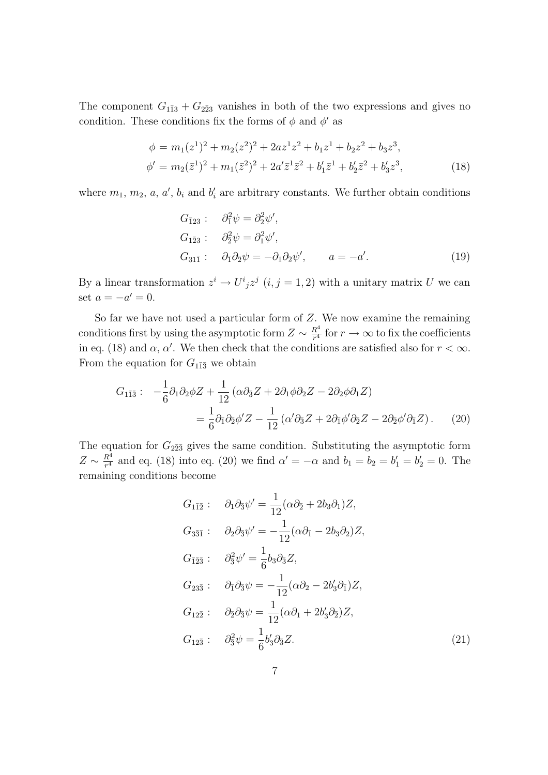The component  $G_{1\bar{1}3} + G_{2\bar{2}3}$  vanishes in both of the two expressions and gives no condition. These conditions fix the forms of  $\phi$  and  $\phi'$  as

$$
\phi = m_1(z^1)^2 + m_2(z^2)^2 + 2az^1z^2 + b_1z^1 + b_2z^2 + b_3z^3,
$$
  
\n
$$
\phi' = m_2(\bar{z}^1)^2 + m_1(\bar{z}^2)^2 + 2a'\bar{z}^1\bar{z}^2 + b'_1\bar{z}^1 + b'_2\bar{z}^2 + b'_3z^3,
$$
\n(18)

where  $m_1, m_2, a, a', b_i$  and  $b'_i$  are arbitrary constants. We further obtain conditions

$$
G_{\bar{1}23}: \quad \partial_1^2 \psi = \partial_2^2 \psi',
$$
  
\n
$$
G_{1\bar{2}3}: \quad \partial_2^2 \psi = \partial_1^2 \psi',
$$
  
\n
$$
G_{31\bar{1}}: \quad \partial_{\bar{1}} \partial_2 \psi = -\partial_1 \partial_2 \psi', \quad a = -a'.
$$
\n(19)

By a linear transformation  $z^i \to U^i{}_j z^j$   $(i, j = 1, 2)$  with a unitary matrix *U* we can set  $a = -a' = 0$ .

So far we have not used a particular form of *Z*. We now examine the remaining conditions first by using the asymptotic form  $Z \sim \frac{R^4}{r^4}$  $\frac{R^4}{r^4}$  for  $r \to \infty$  to fix the coefficients in eq. (18) and  $\alpha$ ,  $\alpha'$ . We then check that the conditions are satisfied also for  $r < \infty$ . From the equation for  $G_{1\bar{1}\bar{3}}$  we obtain

$$
G_{1\bar{1}\bar{3}}: \quad -\frac{1}{6}\partial_1\partial_2\phi Z + \frac{1}{12}\left(\alpha\partial_{\bar{3}}Z + 2\partial_1\phi\partial_2Z - 2\partial_2\phi\partial_1Z\right)
$$

$$
= \frac{1}{6}\partial_{\bar{1}}\partial_2\phi'Z - \frac{1}{12}\left(\alpha'\partial_{\bar{3}}Z + 2\partial_{\bar{1}}\phi'\partial_2Z - 2\partial_2\phi'\partial_{\bar{1}}Z\right). \tag{20}
$$

The equation for  $G_{2\bar{2}3}$  gives the same condition. Substituting the asymptotic form  $Z \sim \frac{R^4}{r^4}$  $\frac{R^4}{r^4}$  and eq. (18) into eq. (20) we find  $\alpha' = -\alpha$  and  $b_1 = b_2 = b'_1 = b'_2 = 0$ . The remaining conditions become

$$
G_{1\bar{1}\bar{2}}: \quad \partial_1 \partial_{\bar{3}} \psi' = \frac{1}{12} (\alpha \partial_{\bar{2}} + 2b_3 \partial_1) Z,
$$
  
\n
$$
G_{3\bar{3}\bar{1}}: \quad \partial_2 \partial_{\bar{3}} \psi' = -\frac{1}{12} (\alpha \partial_{\bar{1}} - 2b_3 \partial_2) Z,
$$
  
\n
$$
G_{\bar{1}\bar{2}\bar{3}}: \quad \partial_{\bar{3}}^2 \psi' = \frac{1}{6} b_3 \partial_{\bar{3}} Z,
$$
  
\n
$$
G_{23\bar{3}}: \quad \partial_{\bar{1}} \partial_{\bar{3}} \psi = -\frac{1}{12} (\alpha \partial_2 - 2b'_3 \partial_{\bar{1}}) Z,
$$
  
\n
$$
G_{12\bar{2}}: \quad \partial_{\bar{2}} \partial_{\bar{3}} \psi = \frac{1}{12} (\alpha \partial_1 + 2b'_3 \partial_{\bar{2}}) Z,
$$
  
\n
$$
G_{12\bar{3}}: \quad \partial_{\bar{3}}^2 \psi = \frac{1}{6} b'_3 \partial_{\bar{3}} Z.
$$
\n(21)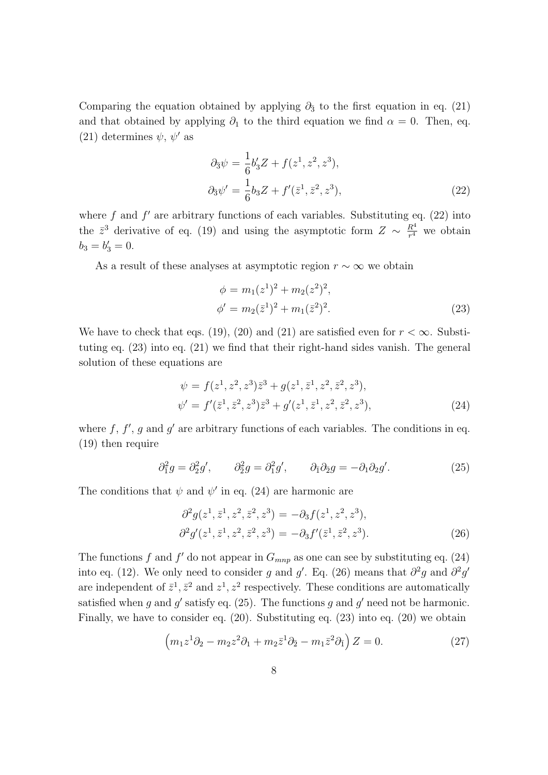Comparing the equation obtained by applying  $\partial_3$  to the first equation in eq. (21) and that obtained by applying  $\partial_1$  to the third equation we find  $\alpha = 0$ . Then, eq.  $(21)$  determines  $\psi, \psi'$  as

$$
\partial_{\bar{3}}\psi = \frac{1}{6}b'_3 Z + f(z^1, z^2, z^3), \n\partial_{\bar{3}}\psi' = \frac{1}{6}b_3 Z + f'(\bar{z}^1, \bar{z}^2, z^3),
$$
\n(22)

where  $f$  and  $f'$  are arbitrary functions of each variables. Substituting eq.  $(22)$  into the  $\bar{z}^3$  derivative of eq. (19) and using the asymptotic form  $Z \sim \frac{R^4}{r^4}$  $\frac{R^4}{r^4}$  we obtain  $b_3 = b'_3 = 0.$ 

As a result of these analyses at asymptotic region  $r \sim \infty$  we obtain

$$
\phi = m_1(z^1)^2 + m_2(z^2)^2,
$$
  
\n
$$
\phi' = m_2(\bar{z}^1)^2 + m_1(\bar{z}^2)^2.
$$
\n(23)

We have to check that eqs. (19), (20) and (21) are satisfied even for  $r < \infty$ . Substituting eq. (23) into eq. (21) we find that their right-hand sides vanish. The general solution of these equations are

$$
\psi = f(z^1, z^2, z^3) \bar{z}^3 + g(z^1, \bar{z}^1, z^2, \bar{z}^2, z^3),
$$
  
\n
$$
\psi' = f'(\bar{z}^1, \bar{z}^2, z^3) \bar{z}^3 + g'(z^1, \bar{z}^1, z^2, \bar{z}^2, z^3),
$$
\n(24)

where  $f, f', g$  and  $g'$  are arbitrary functions of each variables. The conditions in eq. (19) then require

$$
\partial_1^2 g = \partial_2^2 g', \qquad \partial_2^2 g = \partial_1^2 g', \qquad \partial_1 \partial_2 g = -\partial_1 \partial_2 g'. \tag{25}
$$

The conditions that  $\psi$  and  $\psi'$  in eq. (24) are harmonic are

$$
\partial^2 g(z^1, \bar{z}^1, z^2, \bar{z}^2, z^3) = -\partial_3 f(z^1, z^2, z^3), \n\partial^2 g'(z^1, \bar{z}^1, z^2, \bar{z}^2, z^3) = -\partial_3 f'(\bar{z}^1, \bar{z}^2, z^3).
$$
\n(26)

The functions  $f$  and  $f'$  do not appear in  $G_{mnp}$  as one can see by substituting eq. (24) into eq. (12). We only need to consider *g* and *g*'. Eq. (26) means that  $\partial^2 g$  and  $\partial^2 g'$ are independent of  $\bar{z}^1$ ,  $\bar{z}^2$  and  $z^1$ ,  $z^2$  respectively. These conditions are automatically satisfied when  $g$  and  $g'$  satisfy eq. (25). The functions  $g$  and  $g'$  need not be harmonic. Finally, we have to consider eq. (20). Substituting eq. (23) into eq. (20) we obtain

$$
\left(m_1 z^1 \partial_2 - m_2 z^2 \partial_1 + m_2 \bar{z}^1 \partial_2 - m_1 \bar{z}^2 \partial_{\bar{1}}\right) Z = 0.
$$
 (27)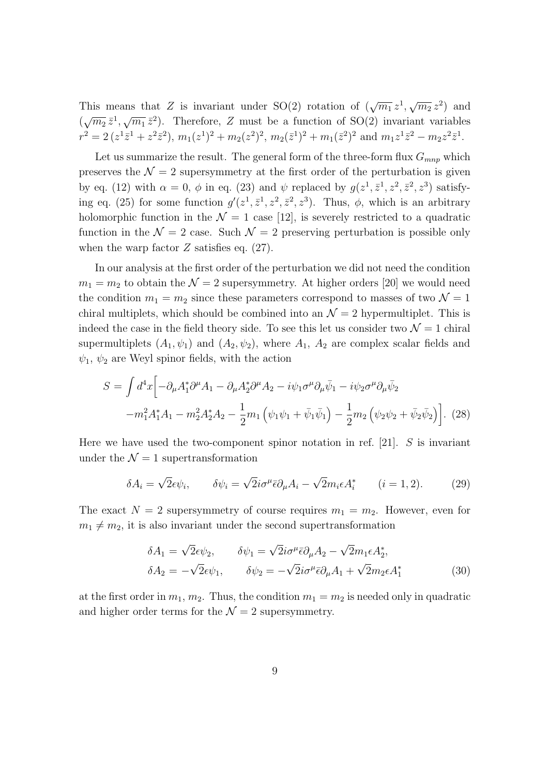This means that *Z* is invariant under SO(2) rotation of  $(\sqrt{m_1} z^1, \sqrt{m_2} z^2)$  and  $(\sqrt{m_2} \bar{z}^1, \sqrt{m_1} \bar{z}^2)$ . Therefore, *Z* must be a function of SO(2) invariant variables  $r^2 = 2(z^1\bar{z}^1 + z^2\bar{z}^2), m_1(z^1)^2 + m_2(z^2)^2, m_2(\bar{z}^1)^2 + m_1(\bar{z}^2)^2$  and  $m_1z^1\bar{z}^2 - m_2z^2\bar{z}^1$ .

Let us summarize the result. The general form of the three-form flux  $G_{mnn}$  which preserves the  $\mathcal{N}=2$  supersymmetry at the first order of the perturbation is given by eq. (12) with  $\alpha = 0$ ,  $\phi$  in eq. (23) and  $\psi$  replaced by  $g(z^1, \bar{z}^1, z^2, \bar{z}^2, z^3)$  satisfying eq. (25) for some function  $g'(z^1, \bar{z}^1, z^2, \bar{z}^2, z^3)$ . Thus,  $\phi$ , which is an arbitrary holomorphic function in the  $\mathcal{N} = 1$  case [12], is severely restricted to a quadratic function in the  $\mathcal{N} = 2$  case. Such  $\mathcal{N} = 2$  preserving perturbation is possible only when the warp factor *Z* satisfies eq.  $(27)$ .

In our analysis at the first order of the perturbation we did not need the condition  $m_1 = m_2$  to obtain the  $\mathcal{N} = 2$  supersymmetry. At higher orders [20] we would need the condition  $m_1 = m_2$  since these parameters correspond to masses of two  $\mathcal{N} = 1$ chiral multiplets, which should be combined into an  $\mathcal{N}=2$  hypermultiplet. This is indeed the case in the field theory side. To see this let us consider two  $\mathcal{N}=1$  chiral supermultiplets  $(A_1, \psi_1)$  and  $(A_2, \psi_2)$ , where  $A_1$ ,  $A_2$  are complex scalar fields and  $\psi_1$ ,  $\psi_2$  are Weyl spinor fields, with the action

$$
S = \int d^4x \Big[ -\partial_{\mu}A_1^* \partial^{\mu}A_1 - \partial_{\mu}A_2^* \partial^{\mu}A_2 - i\psi_1 \sigma^{\mu} \partial_{\mu} \bar{\psi}_1 - i\psi_2 \sigma^{\mu} \partial_{\mu} \bar{\psi}_2 - m_1^2 A_1^* A_1 - m_2^2 A_2^* A_2 - \frac{1}{2} m_1 \left( \psi_1 \psi_1 + \bar{\psi}_1 \bar{\psi}_1 \right) - \frac{1}{2} m_2 \left( \psi_2 \psi_2 + \bar{\psi}_2 \bar{\psi}_2 \right) \Big].
$$
 (28)

Here we have used the two-component spinor notation in ref. [21]. *S* is invariant under the  $\mathcal{N}=1$  supertransformation

$$
\delta A_i = \sqrt{2\epsilon}\psi_i, \qquad \delta \psi_i = \sqrt{2}i\sigma^\mu \bar{\epsilon}\partial_\mu A_i - \sqrt{2}m_i \epsilon A_i^* \qquad (i = 1, 2). \tag{29}
$$

The exact  $N = 2$  supersymmetry of course requires  $m_1 = m_2$ . However, even for  $m_1 \neq m_2$ , it is also invariant under the second supertransformation

$$
\delta A_1 = \sqrt{2}\epsilon \psi_2, \qquad \delta \psi_1 = \sqrt{2}i\sigma^\mu \bar{\epsilon} \partial_\mu A_2 - \sqrt{2}m_1 \epsilon A_2^*,
$$
  

$$
\delta A_2 = -\sqrt{2}\epsilon \psi_1, \qquad \delta \psi_2 = -\sqrt{2}i\sigma^\mu \bar{\epsilon} \partial_\mu A_1 + \sqrt{2}m_2 \epsilon A_1^*
$$
(30)

at the first order in  $m_1$ ,  $m_2$ . Thus, the condition  $m_1 = m_2$  is needed only in quadratic and higher order terms for the  $\mathcal{N}=2$  supersymmetry.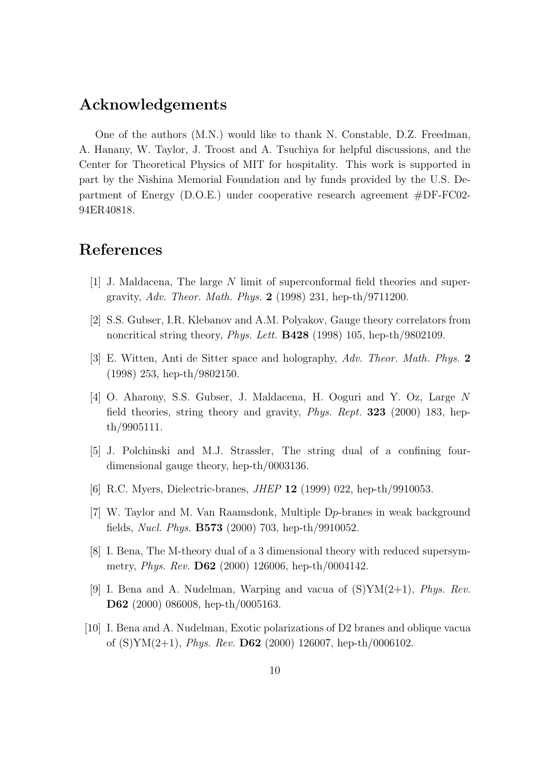## **Acknowledgements**

One of the authors (M.N.) would like to thank N. Constable, D.Z. Freedman, A. Hanany, W. Taylor, J. Troost and A. Tsuchiya for helpful discussions, and the Center for Theoretical Physics of MIT for hospitality. This work is supported in part by the Nishina Memorial Foundation and by funds provided by the U.S. Department of Energy (D.O.E.) under cooperative research agreement #DF-FC02- 94ER40818.

## **References**

- [1] J. Maldacena, The large *N* limit of superconformal field theories and supergravity, *Adv. Theor. Math. Phys.* **2** (1998) 231, hep-th/9711200.
- [2] S.S. Gubser, I.R. Klebanov and A.M. Polyakov, Gauge theory correlators from noncritical string theory, *Phys. Lett.* **B428** (1998) 105, hep-th/9802109.
- [3] E. Witten, Anti de Sitter space and holography, *Adv. Theor. Math. Phys.* **2** (1998) 253, hep-th/9802150.
- [4] O. Aharony, S.S. Gubser, J. Maldacena, H. Ooguri and Y. Oz, Large *N* field theories, string theory and gravity, *Phys. Rept.* **323** (2000) 183, hepth/9905111.
- [5] J. Polchinski and M.J. Strassler, The string dual of a confining fourdimensional gauge theory, hep-th/0003136.
- [6] R.C. Myers, Dielectric-branes, *JHEP* **12** (1999) 022, hep-th/9910053.
- [7] W. Taylor and M. Van Raamsdonk, Multiple D*p*-branes in weak background fields, *Nucl. Phys.* **B573** (2000) 703, hep-th/9910052.
- [8] I. Bena, The M-theory dual of a 3 dimensional theory with reduced supersymmetry, *Phys. Rev.* **D62** (2000) 126006, hep-th/0004142.
- [9] I. Bena and A. Nudelman, Warping and vacua of (S)YM(2+1), *Phys. Rev.* **D62** (2000) 086008, hep-th/0005163.
- [10] I. Bena and A. Nudelman, Exotic polarizations of D2 branes and oblique vacua of (S)YM(2+1), *Phys. Rev.* **D62** (2000) 126007, hep-th/0006102.